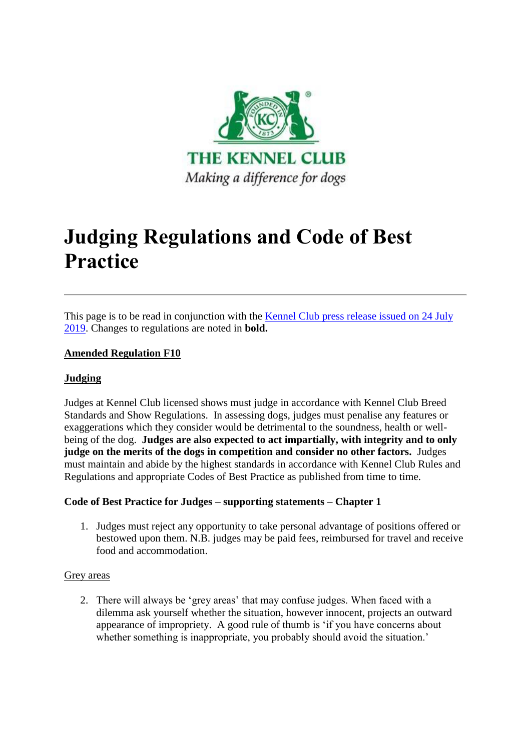

# **Judging Regulations and Code of Best Practice**

This page is to be read in conjunction with the [Kennel Club press release issued on 24 July](file://///press-releases/2019/july/kennel-club-updates-judging-regulations-and-code-of-best-practice/)  [2019.](file://///press-releases/2019/july/kennel-club-updates-judging-regulations-and-code-of-best-practice/) Changes to regulations are noted in **bold.**

# **Amended Regulation F10**

# **Judging**

Judges at Kennel Club licensed shows must judge in accordance with Kennel Club Breed Standards and Show Regulations. In assessing dogs, judges must penalise any features or exaggerations which they consider would be detrimental to the soundness, health or wellbeing of the dog. **Judges are also expected to act impartially, with integrity and to only judge on the merits of the dogs in competition and consider no other factors.** Judges must maintain and abide by the highest standards in accordance with Kennel Club Rules and Regulations and appropriate Codes of Best Practice as published from time to time.

# **Code of Best Practice for Judges – supporting statements – Chapter 1**

1. Judges must reject any opportunity to take personal advantage of positions offered or bestowed upon them. N.B. judges may be paid fees, reimbursed for travel and receive food and accommodation.

## Grey areas

2. There will always be 'grey areas' that may confuse judges. When faced with a dilemma ask yourself whether the situation, however innocent, projects an outward appearance of impropriety. A good rule of thumb is 'if you have concerns about whether something is inappropriate, you probably should avoid the situation.'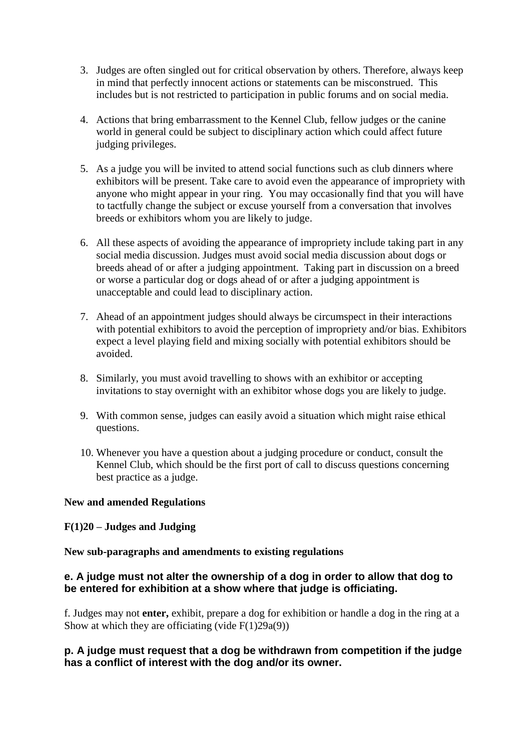- 3. Judges are often singled out for critical observation by others. Therefore, always keep in mind that perfectly innocent actions or statements can be misconstrued. This includes but is not restricted to participation in public forums and on social media.
- 4. Actions that bring embarrassment to the Kennel Club, fellow judges or the canine world in general could be subject to disciplinary action which could affect future judging privileges.
- 5. As a judge you will be invited to attend social functions such as club dinners where exhibitors will be present. Take care to avoid even the appearance of impropriety with anyone who might appear in your ring. You may occasionally find that you will have to tactfully change the subject or excuse yourself from a conversation that involves breeds or exhibitors whom you are likely to judge.
- 6. All these aspects of avoiding the appearance of impropriety include taking part in any social media discussion. Judges must avoid social media discussion about dogs or breeds ahead of or after a judging appointment. Taking part in discussion on a breed or worse a particular dog or dogs ahead of or after a judging appointment is unacceptable and could lead to disciplinary action.
- 7. Ahead of an appointment judges should always be circumspect in their interactions with potential exhibitors to avoid the perception of impropriety and/or bias. Exhibitors expect a level playing field and mixing socially with potential exhibitors should be avoided.
- 8. Similarly, you must avoid travelling to shows with an exhibitor or accepting invitations to stay overnight with an exhibitor whose dogs you are likely to judge.
- 9. With common sense, judges can easily avoid a situation which might raise ethical questions.
- 10. Whenever you have a question about a judging procedure or conduct, consult the Kennel Club, which should be the first port of call to discuss questions concerning best practice as a judge.

# **New and amended Regulations**

# **F(1)20 – Judges and Judging**

## **New sub-paragraphs and amendments to existing regulations**

# **e. A judge must not alter the ownership of a dog in order to allow that dog to be entered for exhibition at a show where that judge is officiating.**

f. Judges may not **enter,** exhibit, prepare a dog for exhibition or handle a dog in the ring at a Show at which they are officiating (vide  $F(1)29a(9)$ )

# **p. A judge must request that a dog be withdrawn from competition if the judge has a conflict of interest with the dog and/or its owner.**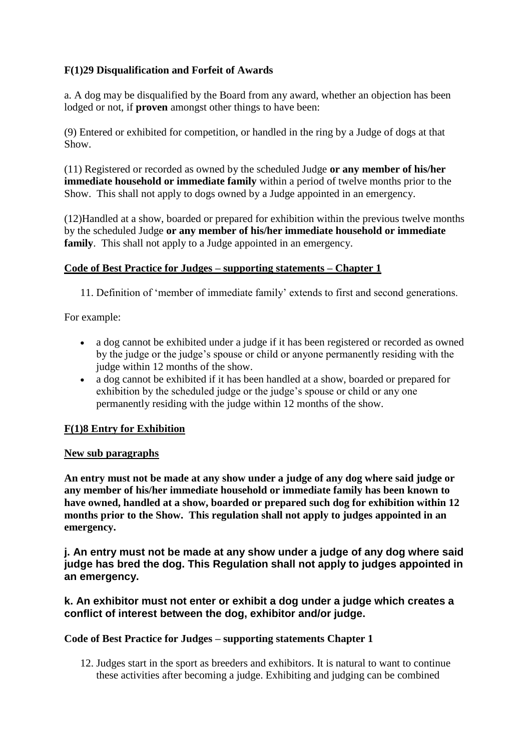# **F(1)29 Disqualification and Forfeit of Awards**

a. A dog may be disqualified by the Board from any award, whether an objection has been lodged or not, if **proven** amongst other things to have been:

(9) Entered or exhibited for competition, or handled in the ring by a Judge of dogs at that Show.

(11) Registered or recorded as owned by the scheduled Judge **or any member of his/her immediate household or immediate family** within a period of twelve months prior to the Show. This shall not apply to dogs owned by a Judge appointed in an emergency.

(12)Handled at a show, boarded or prepared for exhibition within the previous twelve months by the scheduled Judge **or any member of his/her immediate household or immediate family**. This shall not apply to a Judge appointed in an emergency.

## **Code of Best Practice for Judges – supporting statements – Chapter 1**

11. Definition of 'member of immediate family' extends to first and second generations.

For example:

- a dog cannot be exhibited under a judge if it has been registered or recorded as owned by the judge or the judge's spouse or child or anyone permanently residing with the judge within 12 months of the show.
- a dog cannot be exhibited if it has been handled at a show, boarded or prepared for exhibition by the scheduled judge or the judge's spouse or child or any one permanently residing with the judge within 12 months of the show.

# **F(1)8 Entry for Exhibition**

## **New sub paragraphs**

**An entry must not be made at any show under a judge of any dog where said judge or any member of his/her immediate household or immediate family has been known to have owned, handled at a show, boarded or prepared such dog for exhibition within 12 months prior to the Show. This regulation shall not apply to judges appointed in an emergency.**

**j. An entry must not be made at any show under a judge of any dog where said judge has bred the dog. This Regulation shall not apply to judges appointed in an emergency.**

# **k. An exhibitor must not enter or exhibit a dog under a judge which creates a conflict of interest between the dog, exhibitor and/or judge.**

## **Code of Best Practice for Judges – supporting statements Chapter 1**

12. Judges start in the sport as breeders and exhibitors. It is natural to want to continue these activities after becoming a judge. Exhibiting and judging can be combined